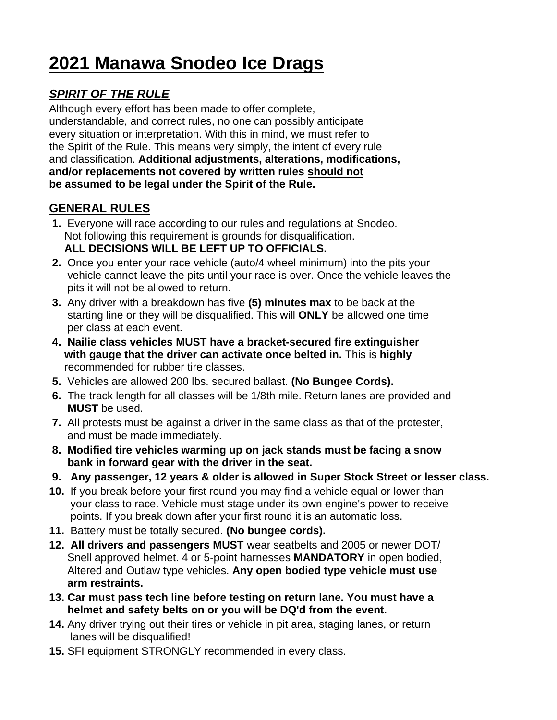# **2021 Manawa Snodeo Ice Drags**

# *SPIRIT OF THE RULE*

Although every effort has been made to offer complete, understandable, and correct rules, no one can possibly anticipate every situation or interpretation. With this in mind, we must refer to the Spirit of the Rule. This means very simply, the intent of every rule and classification. **Additional adjustments, alterations, modifications, and/or replacements not covered by written rules should not be assumed to be legal under the Spirit of the Rule.**

# **GENERAL RULES**

- **1.** Everyone will race according to our rules and regulations at Snodeo. Not following this requirement is grounds for disqualification.  **ALL DECISIONS WILL BE LEFT UP TO OFFICIALS.**
- **2.** Once you enter your race vehicle (auto/4 wheel minimum) into the pits your vehicle cannot leave the pits until your race is over. Once the vehicle leaves the pits it will not be allowed to return.
- **3.** Any driver with a breakdown has five **(5) minutes max** to be back at the starting line or they will be disqualified. This will **ONLY** be allowed one time per class at each event.
- **4. Nailie class vehicles MUST have a bracket-secured fire extinguisher with gauge that the driver can activate once belted in.** This is **highly** recommended for rubber tire classes.
- **5.** Vehicles are allowed 200 lbs. secured ballast. **(No Bungee Cords).**
- **6.** The track length for all classes will be 1/8th mile. Return lanes are provided and  **MUST** be used.
- **7.** All protests must be against a driver in the same class as that of the protester, and must be made immediately.
- **8. Modified tire vehicles warming up on jack stands must be facing a snow bank in forward gear with the driver in the seat.**
- **9. Any passenger, 12 years & older is allowed in Super Stock Street or lesser class.**
- **10.** If you break before your first round you may find a vehicle equal or lower than your class to race. Vehicle must stage under its own engine's power to receive points. If you break down after your first round it is an automatic loss.
- **11.** Battery must be totally secured. **(No bungee cords).**
- **12. All drivers and passengers MUST** wear seatbelts and 2005 or newer DOT/ Snell approved helmet. 4 or 5-point harnesses **MANDATORY** in open bodied, Altered and Outlaw type vehicles. **Any open bodied type vehicle must use arm restraints.**
- **13. Car must pass tech line before testing on return lane. You must have a helmet and safety belts on or you will be DQ'd from the event.**
- **14.** Any driver trying out their tires or vehicle in pit area, staging lanes, or return lanes will be disqualified!
- **15.** SFI equipment STRONGLY recommended in every class.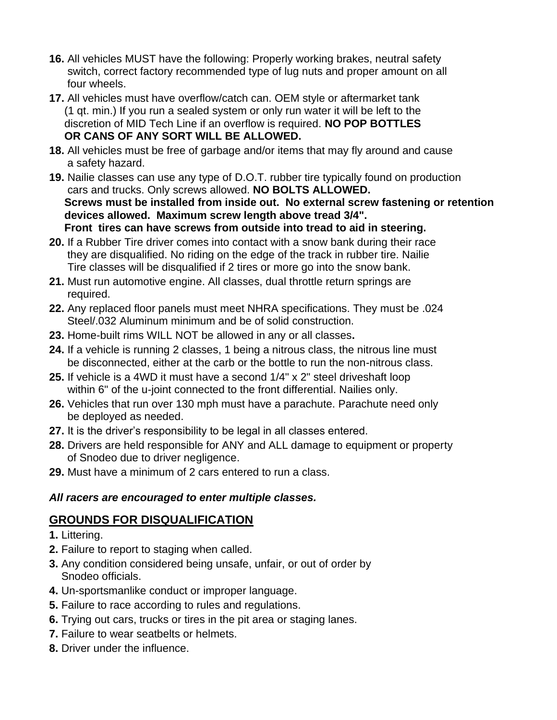- **16.** All vehicles MUST have the following: Properly working brakes, neutral safety switch, correct factory recommended type of lug nuts and proper amount on all four wheels.
- **17.** All vehicles must have overflow/catch can. OEM style or aftermarket tank (1 qt. min.) If you run a sealed system or only run water it will be left to the discretion of MID Tech Line if an overflow is required. **NO POP BOTTLES OR CANS OF ANY SORT WILL BE ALLOWED.**
- **18.** All vehicles must be free of garbage and/or items that may fly around and cause a safety hazard.
- **19.** Nailie classes can use any type of D.O.T. rubber tire typically found on production cars and trucks. Only screws allowed. **NO BOLTS ALLOWED. Screws must be installed from inside out. No external screw fastening or retention devices allowed. Maximum screw length above tread 3/4". Front tires can have screws from outside into tread to aid in steering.**
- **20.** If a Rubber Tire driver comes into contact with a snow bank during their race they are disqualified. No riding on the edge of the track in rubber tire. Nailie Tire classes will be disqualified if 2 tires or more go into the snow bank.
- **21.** Must run automotive engine. All classes, dual throttle return springs are required.
- **22.** Any replaced floor panels must meet NHRA specifications. They must be .024 Steel/.032 Aluminum minimum and be of solid construction.
- **23.** Home-built rims WILL NOT be allowed in any or all classes**.**
- **24.** If a vehicle is running 2 classes, 1 being a nitrous class, the nitrous line must be disconnected, either at the carb or the bottle to run the non-nitrous class.
- **25.** If vehicle is a 4WD it must have a second 1/4" x 2" steel driveshaft loop within 6" of the u-joint connected to the front differential. Nailies only.
- **26.** Vehicles that run over 130 mph must have a parachute. Parachute need only be deployed as needed.
- **27.** It is the driver's responsibility to be legal in all classes entered.
- **28.** Drivers are held responsible for ANY and ALL damage to equipment or property of Snodeo due to driver negligence.
- **29.** Must have a minimum of 2 cars entered to run a class.

## *All racers are encouraged to enter multiple classes.*

# **GROUNDS FOR DISQUALIFICATION**

- **1.** Littering.
- **2.** Failure to report to staging when called.
- **3.** Any condition considered being unsafe, unfair, or out of order by Snodeo officials.
- **4.** Un-sportsmanlike conduct or improper language.
- **5.** Failure to race according to rules and regulations.
- **6.** Trying out cars, trucks or tires in the pit area or staging lanes.
- **7.** Failure to wear seatbelts or helmets.
- **8.** Driver under the influence.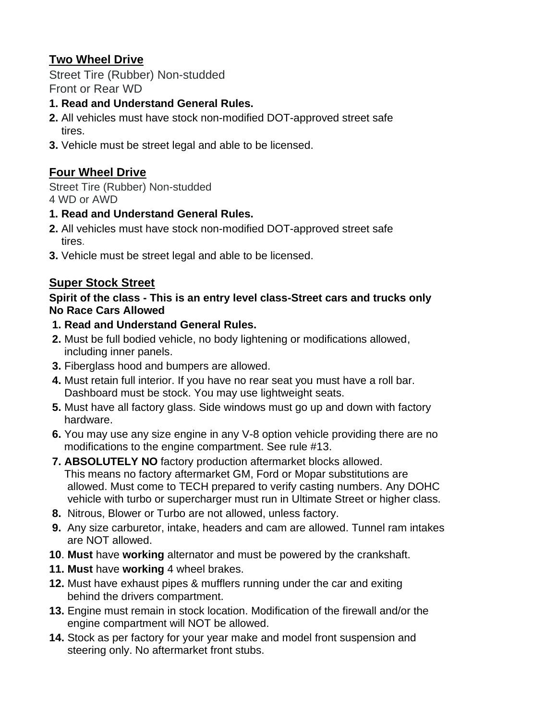# **Two Wheel Drive**

Street Tire (Rubber) Non-studded Front or Rear WD

### **1. Read and Understand General Rules.**

- **2.** All vehicles must have stock non-modified DOT-approved street safe tires.
- **3.** Vehicle must be street legal and able to be licensed.

# **Four Wheel Drive**

Street Tire (Rubber) Non-studded 4 WD or AWD

#### **1. Read and Understand General Rules.**

- **2.** All vehicles must have stock non-modified DOT-approved street safe tires.
- **3.** Vehicle must be street legal and able to be licensed.

# **Super Stock Street**

#### **Spirit of the class - This is an entry level class-Street cars and trucks only No Race Cars Allowed**

#### **1. Read and Understand General Rules.**

- **2.** Must be full bodied vehicle, no body lightening or modifications allowed, including inner panels.
- **3.** Fiberglass hood and bumpers are allowed.
- **4.** Must retain full interior. If you have no rear seat you must have a roll bar. Dashboard must be stock. You may use lightweight seats.
- **5.** Must have all factory glass. Side windows must go up and down with factory hardware.
- **6.** You may use any size engine in any V-8 option vehicle providing there are no modifications to the engine compartment. See rule #13.
- **7. ABSOLUTELY NO** factory production aftermarket blocks allowed. This means no factory aftermarket GM, Ford or Mopar substitutions are allowed. Must come to TECH prepared to verify casting numbers. Any DOHC vehicle with turbo or supercharger must run in Ultimate Street or higher class.
- **8.** Nitrous, Blower or Turbo are not allowed, unless factory.
- **9.** Any size carburetor, intake, headers and cam are allowed. Tunnel ram intakes are NOT allowed.
- **10**. **Must** have **working** alternator and must be powered by the crankshaft.
- **11. Must** have **working** 4 wheel brakes.
- **12.** Must have exhaust pipes & mufflers running under the car and exiting behind the drivers compartment.
- **13.** Engine must remain in stock location. Modification of the firewall and/or the engine compartment will NOT be allowed.
- **14.** Stock as per factory for your year make and model front suspension and steering only. No aftermarket front stubs.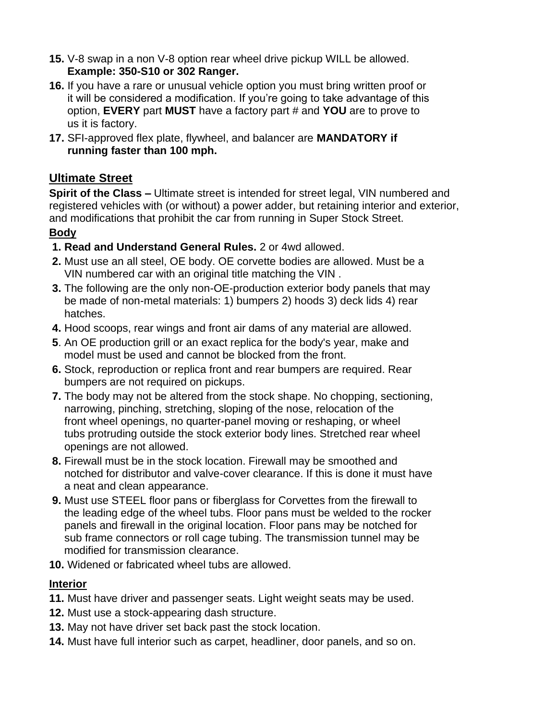- **15.** V-8 swap in a non V-8 option rear wheel drive pickup WILL be allowed.  **Example: 350-S10 or 302 Ranger.**
- **16.** If you have a rare or unusual vehicle option you must bring written proof or it will be considered a modification. If you're going to take advantage of this option, **EVERY** part **MUST** have a factory part # and **YOU** are to prove to us it is factory.
- **17.** SFI-approved flex plate, flywheel, and balancer are **MANDATORY if running faster than 100 mph.**

## **Ultimate Street**

**Spirit of the Class –** Ultimate street is intended for street legal, VIN numbered and registered vehicles with (or without) a power adder, but retaining interior and exterior, and modifications that prohibit the car from running in Super Stock Street.

## **Body**

- **1. Read and Understand General Rules.** 2 or 4wd allowed.
- **2.** Must use an all steel, OE body. OE corvette bodies are allowed. Must be a VIN numbered car with an original title matching the VIN .
- **3.** The following are the only non-OE-production exterior body panels that may be made of non-metal materials: 1) bumpers 2) hoods 3) deck lids 4) rear hatches.
- **4.** Hood scoops, rear wings and front air dams of any material are allowed.
- **5**. An OE production grill or an exact replica for the body's year, make and model must be used and cannot be blocked from the front.
- **6.** Stock, reproduction or replica front and rear bumpers are required. Rear bumpers are not required on pickups.
- **7.** The body may not be altered from the stock shape. No chopping, sectioning, narrowing, pinching, stretching, sloping of the nose, relocation of the front wheel openings, no quarter-panel moving or reshaping, or wheel tubs protruding outside the stock exterior body lines. Stretched rear wheel openings are not allowed.
- **8.** Firewall must be in the stock location. Firewall may be smoothed and notched for distributor and valve-cover clearance. If this is done it must have a neat and clean appearance.
- **9.** Must use STEEL floor pans or fiberglass for Corvettes from the firewall to the leading edge of the wheel tubs. Floor pans must be welded to the rocker panels and firewall in the original location. Floor pans may be notched for sub frame connectors or roll cage tubing. The transmission tunnel may be modified for transmission clearance.
- **10.** Widened or fabricated wheel tubs are allowed.

## **Interior**

- **11.** Must have driver and passenger seats. Light weight seats may be used.
- **12.** Must use a stock-appearing dash structure.
- **13.** May not have driver set back past the stock location.
- **14.** Must have full interior such as carpet, headliner, door panels, and so on.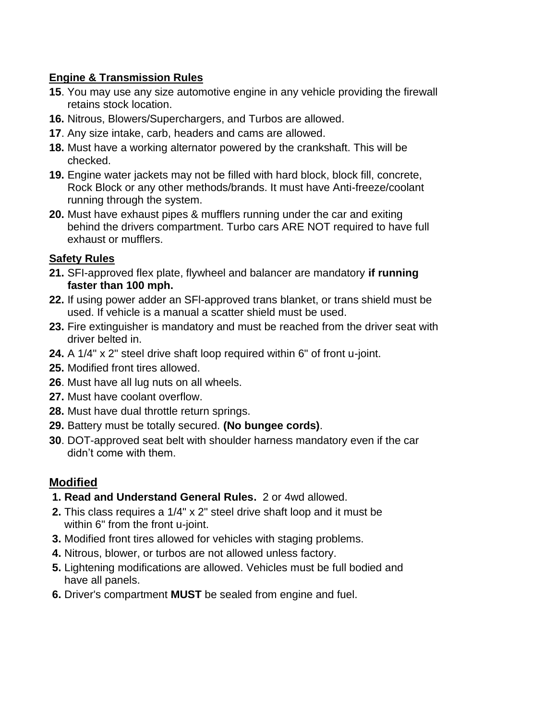## **Engine & Transmission Rules**

- **15**. You may use any size automotive engine in any vehicle providing the firewall retains stock location.
- **16.** Nitrous, Blowers/Superchargers, and Turbos are allowed.
- **17**. Any size intake, carb, headers and cams are allowed.
- **18.** Must have a working alternator powered by the crankshaft. This will be checked.
- **19.** Engine water jackets may not be filled with hard block, block fill, concrete, Rock Block or any other methods/brands. It must have Anti-freeze/coolant running through the system.
- **20.** Must have exhaust pipes & mufflers running under the car and exiting behind the drivers compartment. Turbo cars ARE NOT required to have full exhaust or mufflers.

## **Safety Rules**

- **21.** SFI-approved flex plate, flywheel and balancer are mandatory **if running faster than 100 mph.**
- **22.** If using power adder an SFl-approved trans blanket, or trans shield must be used. If vehicle is a manual a scatter shield must be used.
- **23.** Fire extinguisher is mandatory and must be reached from the driver seat with driver belted in.
- **24.** A 1/4" x 2" steel drive shaft loop required within 6" of front u-joint.
- **25.** Modified front tires allowed.
- **26**. Must have all lug nuts on all wheels.
- **27.** Must have coolant overflow.
- **28.** Must have dual throttle return springs.
- **29.** Battery must be totally secured. **(No bungee cords)**.
- **30**. DOT-approved seat belt with shoulder harness mandatory even if the car didn't come with them.

# **Modified**

- **1. Read and Understand General Rules.** 2 or 4wd allowed.
- **2.** This class requires a 1/4" x 2" steel drive shaft loop and it must be within 6" from the front u-joint.
- **3.** Modified front tires allowed for vehicles with staging problems.
- **4.** Nitrous, blower, or turbos are not allowed unless factory.
- **5.** Lightening modifications are allowed. Vehicles must be full bodied and have all panels.
- **6.** Driver's compartment **MUST** be sealed from engine and fuel.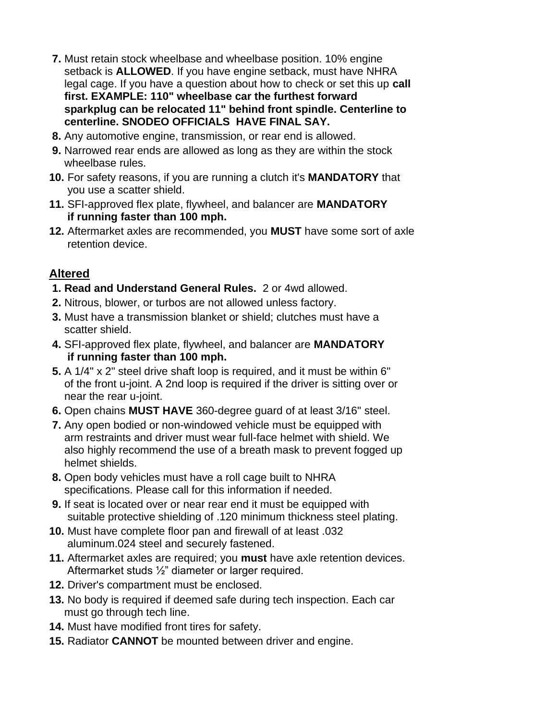- **7.** Must retain stock wheelbase and wheelbase position. 10% engine setback is **ALLOWED**. If you have engine setback, must have NHRA legal cage. If you have a question about how to check or set this up **call first. EXAMPLE: 110" wheelbase car the furthest forward sparkplug can be relocated 11" behind front spindle. Centerline to centerline. SNODEO OFFICIALS HAVE FINAL SAY.**
- **8.** Any automotive engine, transmission, or rear end is allowed.
- **9.** Narrowed rear ends are allowed as long as they are within the stock wheelbase rules.
- **10.** For safety reasons, if you are running a clutch it's **MANDATORY** that you use a scatter shield.
- **11.** SFI-approved flex plate, flywheel, and balancer are **MANDATORY if running faster than 100 mph.**
- **12.** Aftermarket axles are recommended, you **MUST** have some sort of axle retention device.

# **Altered**

- **1. Read and Understand General Rules.** 2 or 4wd allowed.
- **2.** Nitrous, blower, or turbos are not allowed unless factory.
- **3.** Must have a transmission blanket or shield; clutches must have a scatter shield.
- **4.** SFI-approved flex plate, flywheel, and balancer are **MANDATORY if running faster than 100 mph.**
- **5.** A 1/4" x 2" steel drive shaft loop is required, and it must be within 6" of the front u-joint. A 2nd loop is required if the driver is sitting over or near the rear u-joint.
- **6.** Open chains **MUST HAVE** 360-degree guard of at least 3/16" steel.
- **7.** Any open bodied or non-windowed vehicle must be equipped with arm restraints and driver must wear full-face helmet with shield. We also highly recommend the use of a breath mask to prevent fogged up helmet shields.
- **8.** Open body vehicles must have a roll cage built to NHRA specifications. Please call for this information if needed.
- **9.** If seat is located over or near rear end it must be equipped with suitable protective shielding of .120 minimum thickness steel plating.
- **10.** Must have complete floor pan and firewall of at least .032 aluminum.024 steel and securely fastened.
- **11.** Aftermarket axles are required; you **must** have axle retention devices. Aftermarket studs ½" diameter or larger required.
- **12.** Driver's compartment must be enclosed.
- **13.** No body is required if deemed safe during tech inspection. Each car must go through tech line.
- **14.** Must have modified front tires for safety.
- **15.** Radiator **CANNOT** be mounted between driver and engine.